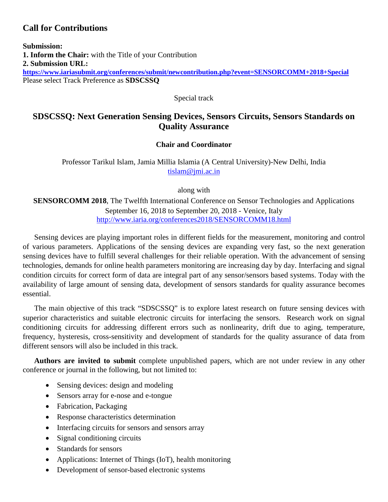# **Call for Contributions**

**Submission: 1. Inform the Chair:** with the Title of your Contribution **2. Submission URL: <https://www.iariasubmit.org/conferences/submit/newcontribution.php?event=SENSORCOMM+2018+Special>** Please select Track Preference as **SDSCSSQ**

Special track

# **SDSCSSQ: Next Generation Sensing Devices, Sensors Circuits, Sensors Standards on Quality Assurance**

## **Chair and Coordinator**

Professor Tarikul Islam, Jamia Millia Islamia (A Central University)-New Delhi, India [tislam@jmi.ac.in](mailto:tislam@jmi.ac.in)

along with

**SENSORCOMM 2018**, The Twelfth International Conference on Sensor Technologies and Applications September 16, 2018 to September 20, 2018 - Venice, Italy <http://www.iaria.org/conferences2018/SENSORCOMM18.html>

Sensing devices are playing important roles in different fields for the measurement, monitoring and control of various parameters. Applications of the sensing devices are expanding very fast, so the next generation sensing devices have to fulfill several challenges for their reliable operation. With the advancement of sensing technologies, demands for online health parameters monitoring are increasing day by day. Interfacing and signal condition circuits for correct form of data are integral part of any sensor/sensors based systems. Today with the availability of large amount of sensing data, development of sensors standards for quality assurance becomes essential.

The main objective of this track "SDSCSSQ" is to explore latest research on future sensing devices with superior characteristics and suitable electronic circuits for interfacing the sensors. Research work on signal conditioning circuits for addressing different errors such as nonlinearity, drift due to aging, temperature, frequency, hysteresis, cross-sensitivity and development of standards for the quality assurance of data from different sensors will also be included in this track.

**Authors are invited to submit** complete unpublished papers, which are not under review in any other conference or journal in the following, but not limited to:

- Sensing devices: design and modeling
- Sensors array for e-nose and e-tongue
- Fabrication, Packaging
- Response characteristics determination
- Interfacing circuits for sensors and sensors array
- Signal conditioning circuits
- Standards for sensors
- Applications: Internet of Things (IoT), health monitoring
- Development of sensor-based electronic systems